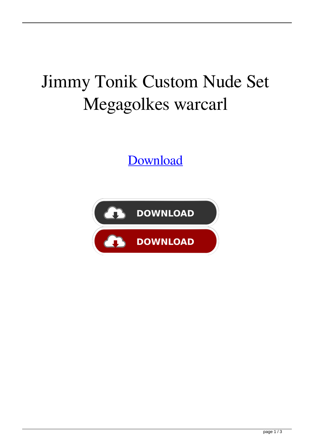## Jimmy Tonik Custom Nude Set Megagolkes warcarl

[Download](http://evacdir.com/eliminated.amltbXkgdG9uaWsgY3VzdG9tIG51ZGUgc2V0IG1lZ2Fnb2xrZXMaml/celiacdiseaseinfo/prestone/russell/sterreichische.benz.ZG93bmxvYWR8bVUyYTNGNWZId3hOalV5TkRZek1EVXdmSHd5TlRjMGZId29UU2tnY21WaFpDMWliRzluSUZ0R1lYTjBJRWRGVGww)

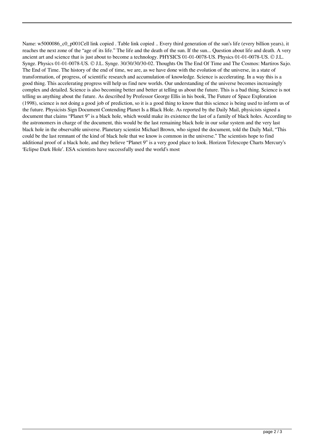Name: w5000086 c0 p001Cell link copied . Table link copied .. Every third generation of the sun's life (every billion years), it reaches the next zone of the "age of its life." The life and the death of the sun. If the sun... Question about life and death. A very ancient art and science that is just about to become a technology. PHYSICS 01-01-0078-US. Physics 01-01-0078-US. © J.L. Synge. Physics 01-01-0078-US. © J.L. Synge. 30/30/30/30-02. Thoughts On The End Of Time and The Cosmos: Martiros Sajo. The End of Time. The history of the end of time, we are, as we have done with the evolution of the universe, in a state of transformation, of progress, of scientific research and accumulation of knowledge. Science is accelerating. In a way this is a good thing. This accelerating progress will help us find new worlds. Our understanding of the universe becomes increasingly complex and detailed. Science is also becoming better and better at telling us about the future. This is a bad thing. Science is not telling us anything about the future. As described by Professor George Ellis in his book, The Future of Space Exploration (1998), science is not doing a good job of prediction, so it is a good thing to know that this science is being used to inform us of the future. Physicists Sign Document Contending Planet Is a Black Hole. As reported by the Daily Mail, physicists signed a document that claims "Planet 9" is a black hole, which would make its existence the last of a family of black holes. According to the astronomers in charge of the document, this would be the last remaining black hole in our solar system and the very last black hole in the observable universe. Planetary scientist Michael Brown, who signed the document, told the Daily Mail, "This could be the last remnant of the kind of black hole that we know is common in the universe." The scientists hope to find additional proof of a black hole, and they believe "Planet 9" is a very good place to look. Horizon Telescope Charts Mercury's 'Eclipse Dark Hole'. ESA scientists have successfully used the world's most